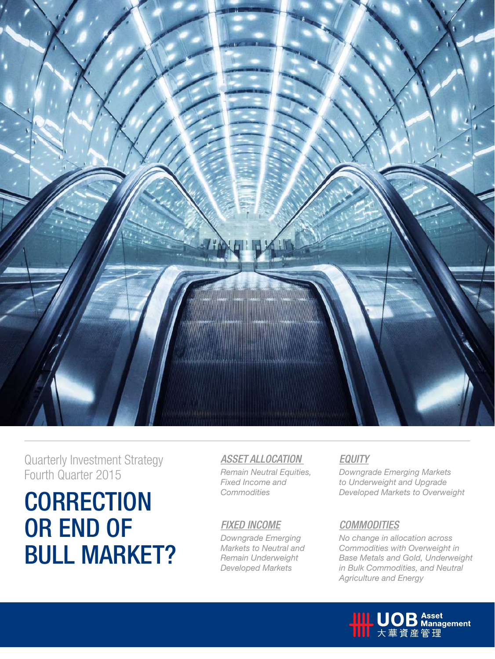

Quarterly Investment Strategy Fourth Quarter 2015

# **CORRECTION** Commodities Developed Markets to Overweight OR END OF Bull Market?

# *Asset Allocation*

*Remain Neutral Equities, Fixed Income and Commodities*

# *Fixed Income*

*Downgrade Emerging Markets to Neutral and Remain Underweight Developed Markets*

# *Equity*

*Downgrade Emerging Markets to Underweight and Upgrade* 

# *COMMODITIES*

*No change in allocation across Commodities with Overweight in Base Metals and Gold, Underweight in Bulk Commodities, and Neutral Agriculture and Energy*

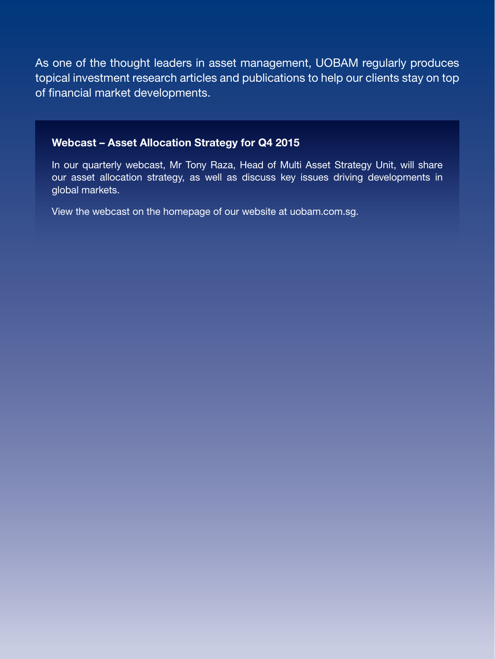As one of the thought leaders in asset management, UOBAM regularly produces topical investment research articles and publications to help our clients stay on top of financial market developments.

# Webcast – Asset Allocation Strategy for Q4 2015

In our quarterly webcast, Mr Tony Raza, Head of Multi Asset Strategy Unit, will share our asset allocation strategy, as well as discuss key issues driving developments in global markets.

View the webcast on the homepage of our website at uobam.com.sg.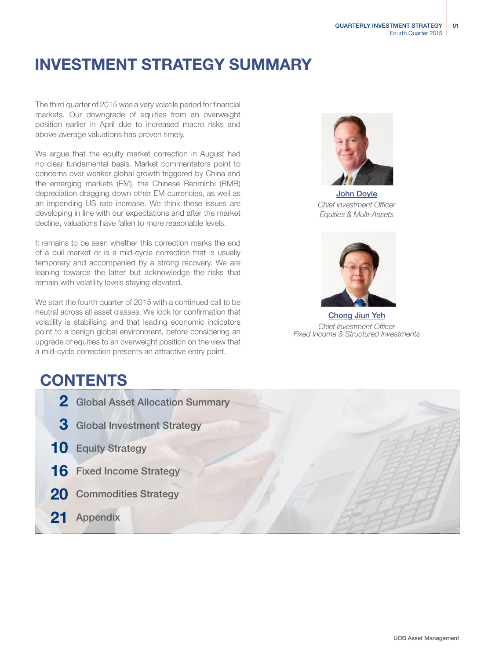# Investment Strategy SUMMARY

The third quarter of 2015 was a very volatile period for financial markets. Our downgrade of equities from an overweight position earlier in April due to increased macro risks and above-average valuations has proven timely.

We argue that the equity market correction in August had no clear fundamental basis. Market commentators point to concerns over weaker global growth triggered by China and the emerging markets (EM), the Chinese Renminbi (RMB) depreciation dragging down other EM currencies, as well as an impending US rate increase. We think these issues are developing in line with our expectations and after the market decline, valuations have fallen to more reasonable levels.

It remains to be seen whether this correction marks the end of a bull market or is a mid-cycle correction that is usually temporary and accompanied by a strong recovery. We are leaning towards the latter but acknowledge the risks that remain with volatility levels staying elevated.

We start the fourth quarter of 2015 with a continued call to be neutral across all asset classes. We look for confirmation that volatility is stabilising and that leading economic indicators point to a benign global environment, before considering an upgrade of equities to an overweight position on the view that a mid-cycle correction presents an attractive entry point.

John Doyle *Chief Investment Officer Equities & Multi-Assets*



Chong Jiun Yeh *Chief Investment Officer Fixed Income & Structured Investments*

# **CONTENTS**

- 2 Global Asset Allocation Summary
- 3 Global Investment Strategy
- 10 Equity Strategy
- 16 Fixed Income Strategy
- 20 Commodities Strategy
- 21 Appendix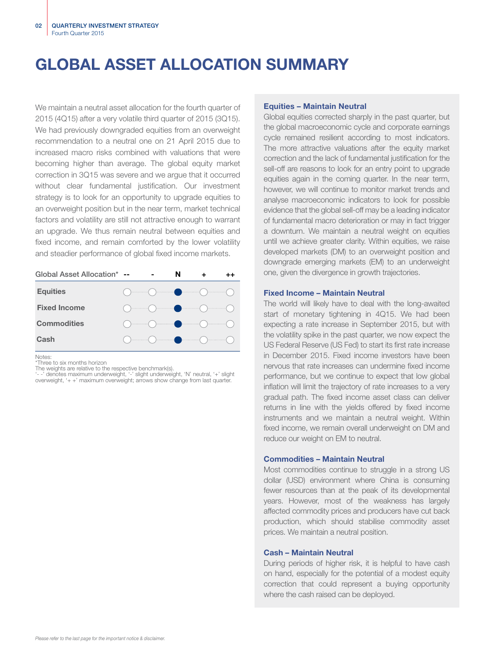# GLOBAL ASSET ALLOCATION SUMMARY

We maintain a neutral asset allocation for the fourth quarter of 2015 (4Q15) after a very volatile third quarter of 2015 (3Q15). We had previously downgraded equities from an overweight recommendation to a neutral one on 21 April 2015 due to increased macro risks combined with valuations that were becoming higher than average. The global equity market correction in 3Q15 was severe and we argue that it occurred without clear fundamental justification. Our investment strategy is to look for an opportunity to upgrade equities to an overweight position but in the near term, market technical factors and volatility are still not attractive enough to warrant an upgrade. We thus remain neutral between equities and fixed income, and remain comforted by the lower volatility and steadier performance of global fixed income markets.

| Global Asset Allocation* -- |                                                                                                                                                                                                                                                                                                                                                     | N |  |
|-----------------------------|-----------------------------------------------------------------------------------------------------------------------------------------------------------------------------------------------------------------------------------------------------------------------------------------------------------------------------------------------------|---|--|
| <b>Equities</b>             | $\begin{picture}(180,10) \put(0,0){\line(1,0){10}} \put(10,0){\line(1,0){10}} \put(10,0){\line(1,0){10}} \put(10,0){\line(1,0){10}} \put(10,0){\line(1,0){10}} \put(10,0){\line(1,0){10}} \put(10,0){\line(1,0){10}} \put(10,0){\line(1,0){10}} \put(10,0){\line(1,0){10}} \put(10,0){\line(1,0){10}} \put(10,0){\line(1,0){10}} \put(10,0){\line($ |   |  |
| <b>Fixed Income</b>         | $\begin{picture}(180,10) \put(0,0){\line(1,0){10}} \put(10,0){\line(1,0){10}} \put(10,0){\line(1,0){10}} \put(10,0){\line(1,0){10}} \put(10,0){\line(1,0){10}} \put(10,0){\line(1,0){10}} \put(10,0){\line(1,0){10}} \put(10,0){\line(1,0){10}} \put(10,0){\line(1,0){10}} \put(10,0){\line(1,0){10}} \put(10,0){\line(1,0){10}} \put(10,0){\line($ |   |  |
| <b>Commodities</b>          |                                                                                                                                                                                                                                                                                                                                                     |   |  |
| Cash                        |                                                                                                                                                                                                                                                                                                                                                     |   |  |

Notes:

toces.<br>Three to six months horizon

The weights are relative to the respective benchmark(s).<br>'- -' denotes maximum underweight, '-' slight underweight, 'N' neutral, '+' slight<br>overweight, '+ +' maximum overweight; arrows show change from last quarter.

### Equities – Maintain Neutral

Global equities corrected sharply in the past quarter, but the global macroeconomic cycle and corporate earnings cycle remained resilient according to most indicators. The more attractive valuations after the equity market correction and the lack of fundamental justification for the sell-off are reasons to look for an entry point to upgrade equities again in the coming quarter. In the near term, however, we will continue to monitor market trends and analyse macroeconomic indicators to look for possible evidence that the global sell-off may be a leading indicator of fundamental macro deterioration or may in fact trigger a downturn. We maintain a neutral weight on equities until we achieve greater clarity. Within equities, we raise developed markets (DM) to an overweight position and downgrade emerging markets (EM) to an underweight one, given the divergence in growth trajectories.

### Fixed Income – Maintain Neutral

The world will likely have to deal with the long-awaited start of monetary tightening in 4Q15. We had been expecting a rate increase in September 2015, but with the volatility spike in the past quarter, we now expect the US Federal Reserve (US Fed) to start its first rate increase in December 2015. Fixed income investors have been nervous that rate increases can undermine fixed income performance, but we continue to expect that low global inflation will limit the trajectory of rate increases to a very gradual path. The fixed income asset class can deliver returns in line with the yields offered by fixed income instruments and we maintain a neutral weight. Within fixed income, we remain overall underweight on DM and reduce our weight on EM to neutral.

### Commodities – Maintain Neutral

Most commodities continue to struggle in a strong US dollar (USD) environment where China is consuming fewer resources than at the peak of its developmental years. However, most of the weakness has largely affected commodity prices and producers have cut back production, which should stabilise commodity asset prices. We maintain a neutral position.

### Cash – Maintain Neutral

During periods of higher risk, it is helpful to have cash on hand, especially for the potential of a modest equity correction that could represent a buying opportunity where the cash raised can be deployed.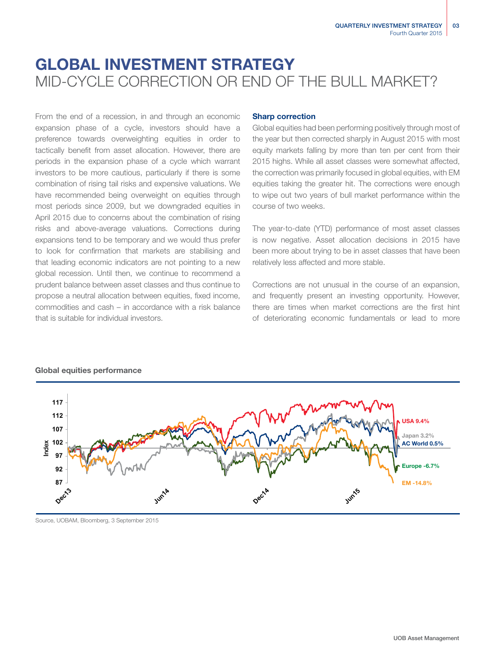# GLOBAL INVESTMENT STRATEGY MID-CYCLE CORRECTION OR END OF THE BULL MARKET?

From the end of a recession, in and through an economic expansion phase of a cycle, investors should have a preference towards overweighting equities in order to tactically benefit from asset allocation. However, there are periods in the expansion phase of a cycle which warrant investors to be more cautious, particularly if there is some combination of rising tail risks and expensive valuations. We have recommended being overweight on equities through most periods since 2009, but we downgraded equities in April 2015 due to concerns about the combination of rising risks and above-average valuations. Corrections during expansions tend to be temporary and we would thus prefer to look for confirmation that markets are stabilising and that leading economic indicators are not pointing to a new global recession. Until then, we continue to recommend a prudent balance between asset classes and thus continue to propose a neutral allocation between equities, fixed income, commodities and cash – in accordance with a risk balance that is suitable for individual investors.

### Sharp correction

Global equities had been performing positively through most of the year but then corrected sharply in August 2015 with most equity markets falling by more than ten per cent from their 2015 highs. While all asset classes were somewhat affected, the correction was primarily focused in global equities, with EM equities taking the greater hit. The corrections were enough to wipe out two years of bull market performance within the course of two weeks.

The year-to-date (YTD) performance of most asset classes is now negative. Asset allocation decisions in 2015 have been more about trying to be in asset classes that have been relatively less affected and more stable.

Corrections are not unusual in the course of an expansion, and frequently present an investing opportunity. However, there are times when market corrections are the first hint of deteriorating economic fundamentals or lead to more



### Global equities performance

Source, UOBAM, Bloomberg, 3 September 2015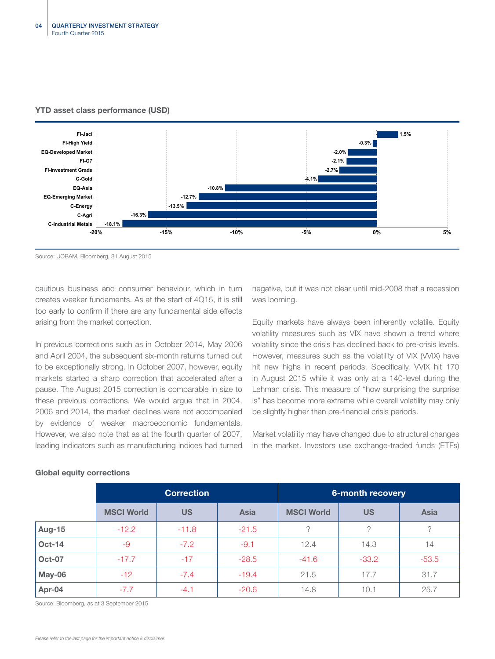

### YTD asset class performance (USD)

Source: UOBAM, Bloomberg, 31 August 2015

cautious business and consumer behaviour, which in turn creates weaker fundaments. As at the start of 4Q15, it is still too early to confirm if there are any fundamental side effects arising from the market correction.

In previous corrections such as in October 2014, May 2006 and April 2004, the subsequent six-month returns turned out to be exceptionally strong. In October 2007, however, equity markets started a sharp correction that accelerated after a pause. The August 2015 correction is comparable in size to these previous corrections. We would argue that in 2004, 2006 and 2014, the market declines were not accompanied by evidence of weaker macroeconomic fundamentals. However, we also note that as at the fourth quarter of 2007, leading indicators such as manufacturing indices had turned negative, but it was not clear until mid-2008 that a recession was looming.

Equity markets have always been inherently volatile. Equity volatility measures such as VIX have shown a trend where volatility since the crisis has declined back to pre-crisis levels. However, measures such as the volatility of VIX (VVIX) have hit new highs in recent periods. Specifically, VVIX hit 170 in August 2015 while it was only at a 140-level during the Lehman crisis. This measure of "how surprising the surprise is" has become more extreme while overall volatility may only be slightly higher than pre-financial crisis periods.

Market volatility may have changed due to structural changes in the market. Investors use exchange-traded funds (ETFs)

|               | <b>Correction</b> |           |             | 6-month recovery  |           |             |  |
|---------------|-------------------|-----------|-------------|-------------------|-----------|-------------|--|
|               | <b>MSCI World</b> | <b>US</b> | <b>Asia</b> | <b>MSCI World</b> | <b>US</b> | <b>Asia</b> |  |
| <b>Aug-15</b> | $-12.2$           | $-11.8$   | $-21.5$     | $\Omega$          | っ         | ?           |  |
| <b>Oct-14</b> | -9                | $-7.2$    | $-9.1$      | 12.4              | 14.3      | 14          |  |
| <b>Oct-07</b> | $-17.7$           | $-17$     | $-28.5$     | $-41.6$           | $-33.2$   | $-53.5$     |  |
| May-06        | $-12$             | $-7.4$    | $-19.4$     | 21.5              | 17.7      | 31.7        |  |
| Apr-04        | $-7.7$            | $-4.1$    | $-20.6$     | 14.8              | 10.1      | 25.7        |  |

### Global equity corrections

Source: Bloomberg, as at 3 September 2015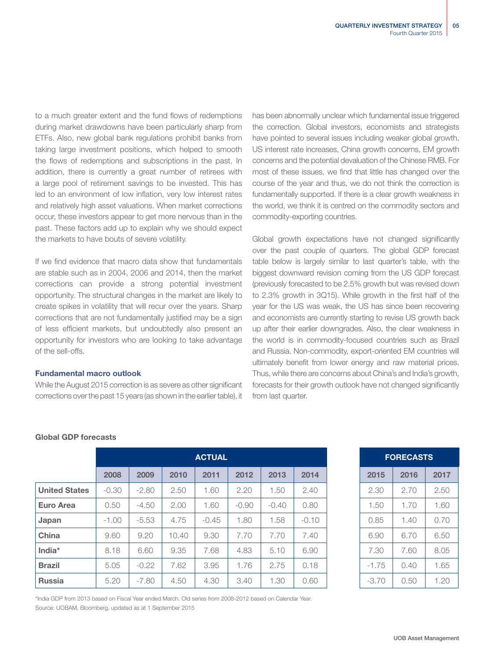to a much greater extent and the fund flows of redemptions during market drawdowns have been particularly sharp from ETFs. Also, new global bank regulations prohibit banks from taking large investment positions, which helped to smooth the flows of redemptions and subscriptions in the past. In addition, there is currently a great number of retirees with a large pool of retirement savings to be invested. This has led to an environment of low inflation, very low interest rates and relatively high asset valuations. When market corrections occur, these investors appear to get more nervous than in the past. These factors add up to explain why we should expect the markets to have bouts of severe volatility.

If we find evidence that macro data show that fundamentals are stable such as in 2004, 2006 and 2014, then the market corrections can provide a strong potential investment opportunity. The structural changes in the market are likely to create spikes in volatility that will recur over the years. Sharp corrections that are not fundamentally justified may be a sign of less efficient markets, but undoubtedly also present an opportunity for investors who are looking to take advantage of the sell-offs.

### Fundamental macro outlook

While the August 2015 correction is as severe as other significant corrections over the past 15 years (as shown in the earlier table), it has been abnormally unclear which fundamental issue triggered the correction. Global investors, economists and strategists have pointed to several issues including weaker global growth, US interest rate increases, China growth concerns, EM growth concerns and the potential devaluation of the Chinese RMB. For most of these issues, we find that little has changed over the course of the year and thus, we do not think the correction is fundamentally supported. If there is a clear growth weakness in the world, we think it is centred on the commodity sectors and commodity-exporting countries.

Global growth expectations have not changed significantly over the past couple of quarters. The global GDP forecast table below is largely similar to last quarter's table, with the biggest downward revision coming from the US GDP forecast (previously forecasted to be 2.5% growth but was revised down to 2.3% growth in 3Q15). While growth in the first half of the year for the US was weak, the US has since been recovering and economists are currently starting to revise US growth back up after their earlier downgrades. Also, the clear weakness in the world is in commodity-focused countries such as Brazil and Russia. Non-commodity, export-oriented EM countries will ultimately benefit from lower energy and raw material prices. Thus, while there are concerns about China's and India's growth, forecasts for their growth outlook have not changed significantly from last quarter.

|                      | <b>ACTUAL</b> |         |       |         |         |         | <b>FORECASTS</b> |         |      |      |
|----------------------|---------------|---------|-------|---------|---------|---------|------------------|---------|------|------|
|                      | 2008          | 2009    | 2010  | 2011    | 2012    | 2013    | 2014             | 2015    | 2016 | 2017 |
| <b>United States</b> | $-0.30$       | $-2.80$ | 2.50  | 1.60    | 2.20    | 1.50    | 2.40             | 2.30    | 2.70 | 2.50 |
| <b>Euro Area</b>     | 0.50          | $-4.50$ | 2.00  | 1.60    | $-0.90$ | $-0.40$ | 0.80             | 1.50    | 1.70 | 1.60 |
| Japan                | $-1.00$       | $-5.53$ | 4.75  | $-0.45$ | 1.80    | 1.58    | $-0.10$          | 0.85    | 1.40 | 0.70 |
| China                | 9.60          | 9.20    | 10.40 | 9.30    | 7.70    | 7.70    | 7.40             | 6.90    | 6.70 | 6.50 |
| India*               | 8.18          | 6.60    | 9.35  | 7.68    | 4.83    | 5.10    | 6.90             | 7.30    | 7.60 | 8.05 |
| <b>Brazil</b>        | 5.05          | $-0.22$ | 7.62  | 3.95    | 1.76    | 2.75    | 0.18             | $-1.75$ | 0.40 | 1.65 |
| <b>Russia</b>        | 5.20          | $-7.80$ | 4.50  | 4.30    | 3.40    | 1.30    | 0.60             | $-3.70$ | 0.50 | 1.20 |

### Global GDP forecasts

| <b>FORECASTS</b> |      |      |  |  |  |  |
|------------------|------|------|--|--|--|--|
| 2015             | 2016 | 2017 |  |  |  |  |
| 2.30             | 2.70 | 2.50 |  |  |  |  |
| 1.50             | 1.70 | 1.60 |  |  |  |  |
| 0.85             | 1.40 | 0.70 |  |  |  |  |
| 6.90             | 6.70 | 6.50 |  |  |  |  |
| 7.30             | 7.60 | 8.05 |  |  |  |  |
| $-1.75$          | 0.40 | 1.65 |  |  |  |  |
| $-3.70$          | 0.50 | 1.20 |  |  |  |  |

\*India GDP from 2013 based on Fiscal Year ended March. Old series from 2008-2012 based on Calendar Year. Source: UOBAM, Bloomberg, updated as at 1 September 2015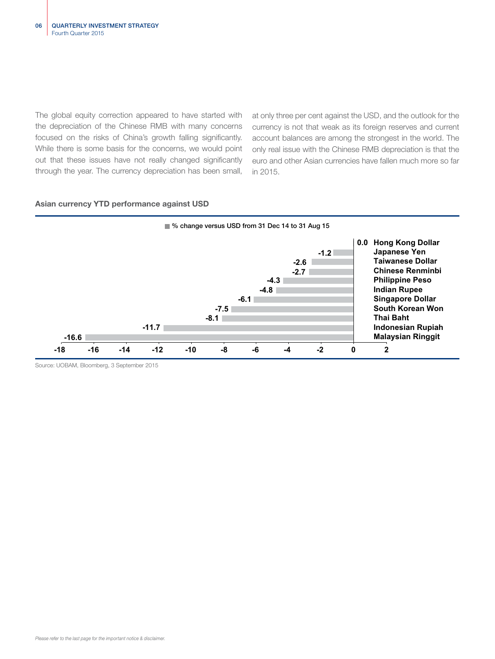The global equity correction appeared to have started with the depreciation of the Chinese RMB with many concerns focused on the risks of China's growth falling significantly. While there is some basis for the concerns, we would point out that these issues have not really changed significantly through the year. The currency depreciation has been small,

at only three per cent against the USD, and the outlook for the currency is not that weak as its foreign reserves and current account balances are among the strongest in the world. The only real issue with the Chinese RMB depreciation is that the euro and other Asian currencies have fallen much more so far in 2015.



### Asian currency YTD performance against USD

Source: UOBAM, Bloomberg, 3 September 2015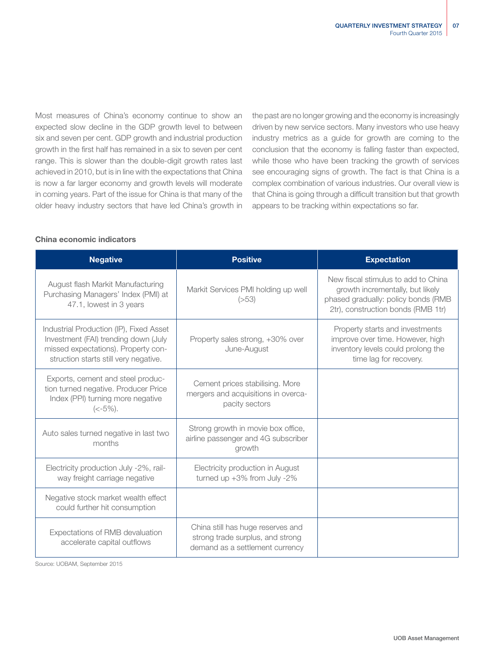Most measures of China's economy continue to show an expected slow decline in the GDP growth level to between six and seven per cent. GDP growth and industrial production growth in the first half has remained in a six to seven per cent range. This is slower than the double-digit growth rates last achieved in 2010, but is in line with the expectations that China is now a far larger economy and growth levels will moderate in coming years. Part of the issue for China is that many of the older heavy industry sectors that have led China's growth in

the past are no longer growing and the economy is increasingly driven by new service sectors. Many investors who use heavy industry metrics as a guide for growth are coming to the conclusion that the economy is falling faster than expected, while those who have been tracking the growth of services see encouraging signs of growth. The fact is that China is a complex combination of various industries. Our overall view is that China is going through a difficult transition but that growth appears to be tracking within expectations so far.

## China economic indicators

| <b>Negative</b>                                                                                                                                                 | <b>Positive</b>                                                                                          | <b>Expectation</b>                                                                                                                                   |
|-----------------------------------------------------------------------------------------------------------------------------------------------------------------|----------------------------------------------------------------------------------------------------------|------------------------------------------------------------------------------------------------------------------------------------------------------|
| August flash Markit Manufacturing<br>Purchasing Managers' Index (PMI) at<br>47.1, lowest in 3 years                                                             | Markit Services PMI holding up well<br>(>53)                                                             | New fiscal stimulus to add to China<br>growth incrementally, but likely<br>phased gradually: policy bonds (RMB<br>2tr), construction bonds (RMB 1tr) |
| Industrial Production (IP), Fixed Asset<br>Investment (FAI) trending down (July<br>missed expectations). Property con-<br>struction starts still very negative. | Property sales strong, +30% over<br>June-August                                                          | Property starts and investments<br>improve over time. However, high<br>inventory levels could prolong the<br>time lag for recovery.                  |
| Exports, cement and steel produc-<br>tion turned negative. Producer Price<br>Index (PPI) turning more negative<br>$(< -5\%)$ .                                  | Cement prices stabilising. More<br>mergers and acquisitions in overca-<br>pacity sectors                 |                                                                                                                                                      |
| Auto sales turned negative in last two<br>months                                                                                                                | Strong growth in movie box office,<br>airline passenger and 4G subscriber<br>growth                      |                                                                                                                                                      |
| Electricity production July -2%, rail-<br>way freight carriage negative                                                                                         | Electricity production in August<br>turned up $+3\%$ from July -2%                                       |                                                                                                                                                      |
| Negative stock market wealth effect<br>could further hit consumption                                                                                            |                                                                                                          |                                                                                                                                                      |
| Expectations of RMB devaluation<br>accelerate capital outflows                                                                                                  | China still has huge reserves and<br>strong trade surplus, and strong<br>demand as a settlement currency |                                                                                                                                                      |

Source: UOBAM, September 2015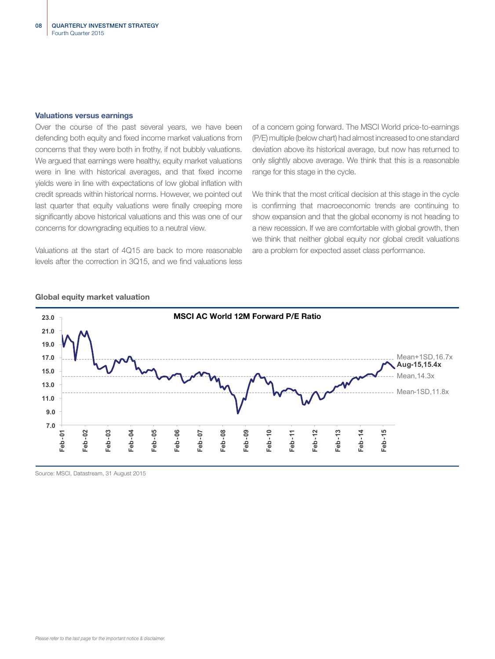### Valuations versus earnings

Over the course of the past several years, we have been defending both equity and fixed income market valuations from concerns that they were both in frothy, if not bubbly valuations. We argued that earnings were healthy, equity market valuations were in line with historical averages, and that fixed income yields were in line with expectations of low global inflation with credit spreads within historical norms. However, we pointed out last quarter that equity valuations were finally creeping more significantly above historical valuations and this was one of our concerns for downgrading equities to a neutral view.

Valuations at the start of 4Q15 are back to more reasonable levels after the correction in 3Q15, and we find valuations less

of a concern going forward. The MSCI World price-to-earnings (P/E) multiple (below chart) had almost increased to one standard deviation above its historical average, but now has returned to only slightly above average. We think that this is a reasonable range for this stage in the cycle.

We think that the most critical decision at this stage in the cycle is confirming that macroeconomic trends are continuing to show expansion and that the global economy is not heading to a new recession. If we are comfortable with global growth, then we think that neither global equity nor global credit valuations are a problem for expected asset class performance.



### Global equity market valuation

Source: MSCI, Datastream, 31 August 2015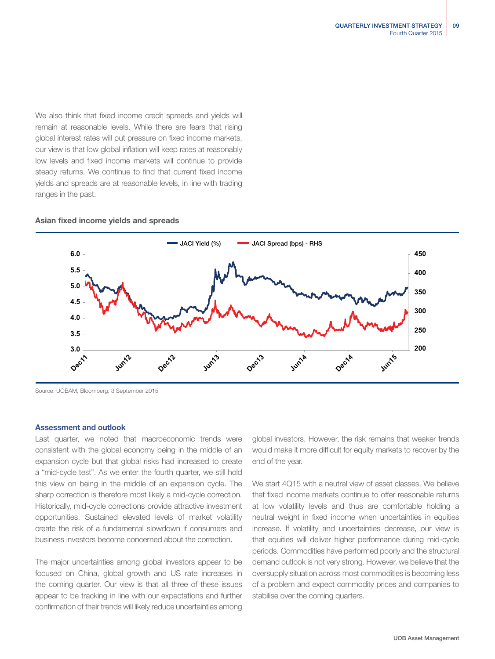We also think that fixed income credit spreads and yields will remain at reasonable levels. While there are fears that rising global interest rates will put pressure on fixed income markets, our view is that low global inflation will keep rates at reasonably low levels and fixed income markets will continue to provide steady returns. We continue to find that current fixed income yields and spreads are at reasonable levels, in line with trading ranges in the past.

## Asian fixed income yields and spreads



Source: UOBAM, Bloomberg, 3 September 2015

### Assessment and outlook

Last quarter, we noted that macroeconomic trends were consistent with the global economy being in the middle of an expansion cycle but that global risks had increased to create a "mid-cycle test". As we enter the fourth quarter, we still hold this view on being in the middle of an expansion cycle. The sharp correction is therefore most likely a mid-cycle correction. Historically, mid-cycle corrections provide attractive investment opportunities. Sustained elevated levels of market volatility create the risk of a fundamental slowdown if consumers and business investors become concerned about the correction.

The major uncertainties among global investors appear to be focused on China, global growth and US rate increases in the coming quarter. Our view is that all three of these issues appear to be tracking in line with our expectations and further confirmation of their trends will likely reduce uncertainties among

global investors. However, the risk remains that weaker trends would make it more difficult for equity markets to recover by the end of the year.

We start 4015 with a neutral view of asset classes. We believe that fixed income markets continue to offer reasonable returns at low volatility levels and thus are comfortable holding a neutral weight in fixed income when uncertainties in equities increase. If volatility and uncertainties decrease, our view is that equities will deliver higher performance during mid-cycle periods. Commodities have performed poorly and the structural demand outlook is not very strong. However, we believe that the oversupply situation across most commodities is becoming less of a problem and expect commodity prices and companies to stabilise over the coming quarters.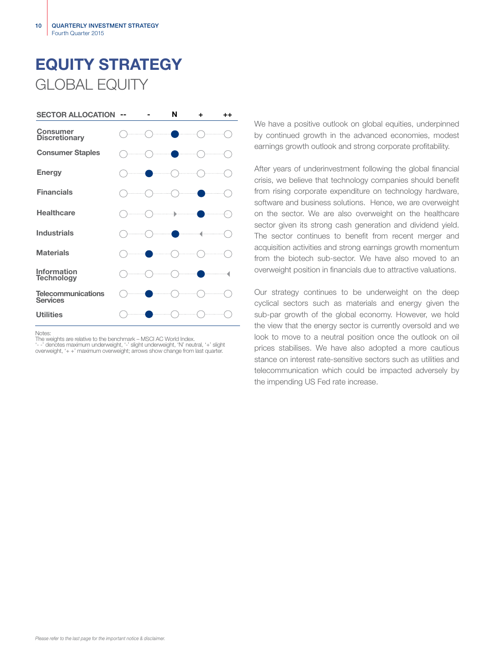# EQUITY STRATEGY GLOBAL EQUITY



Notes:

The weights are relative to the benchmark – MSCI AC World Index.

'- -' denotes maximum underweight, '-' slight underweight, 'N' neutral, '+' slight overweight, '+ +' maximum overweight; arrows show change from last quarter.

We have a positive outlook on global equities, underpinned by continued growth in the advanced economies, modest earnings growth outlook and strong corporate profitability.

After years of underinvestment following the global financial crisis, we believe that technology companies should benefit from rising corporate expenditure on technology hardware, software and business solutions. Hence, we are overweight on the sector. We are also overweight on the healthcare sector given its strong cash generation and dividend yield. The sector continues to benefit from recent merger and acquisition activities and strong earnings growth momentum from the biotech sub-sector. We have also moved to an overweight position in financials due to attractive valuations.

Our strategy continues to be underweight on the deep cyclical sectors such as materials and energy given the sub-par growth of the global economy. However, we hold the view that the energy sector is currently oversold and we look to move to a neutral position once the outlook on oil prices stabilises. We have also adopted a more cautious stance on interest rate-sensitive sectors such as utilities and telecommunication which could be impacted adversely by the impending US Fed rate increase.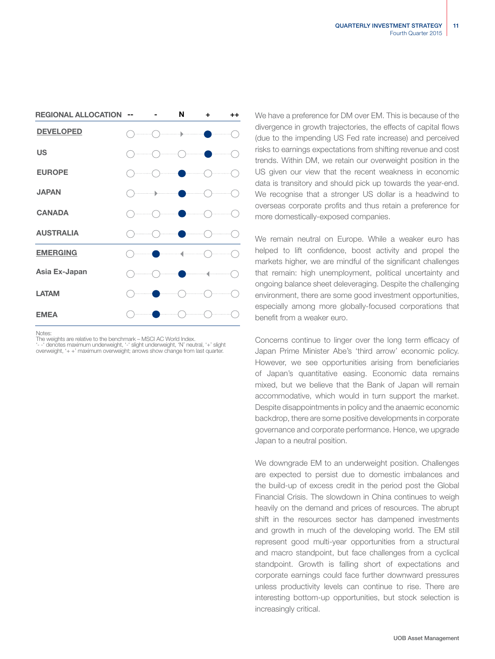| <b>REGIONAL ALLOCATION</b> |   | N                                                                                        | ٠    | $^{\mathrm{+}}$ |
|----------------------------|---|------------------------------------------------------------------------------------------|------|-----------------|
| <b>DEVELOPED</b>           |   |                                                                                          | .    |                 |
| <b>US</b>                  | . |                                                                                          | ). 1 | .               |
| <b>EUROPE</b>              |   |                                                                                          |      | .               |
| <b>JAPAN</b>               |   |                                                                                          | .    |                 |
| <b>CANADA</b>              |   |                                                                                          |      |                 |
| <b>AUSTRALIA</b>           |   |                                                                                          | .    |                 |
| <b>EMERGING</b>            |   |                                                                                          | .    |                 |
| Asia Ex-Japan              |   | $\mathcal{L}(\mathcal{L})$ and $\mathcal{L}(\mathcal{L})$ and $\mathcal{L}(\mathcal{L})$ |      |                 |
| <b>LATAM</b>               |   |                                                                                          | .    | .               |
| <b>EMEA</b>                |   |                                                                                          |      |                 |

Notes:

The weights are relative to the benchmark – MSCI AC World Index. '- -' denotes maximum underweight, '-' slight underweight, 'N' neutral, '+' slight

overweight, '+ +' maximum overweight; arrows show change from last quarter.

We have a preference for DM over EM. This is because of the divergence in growth trajectories, the effects of capital flows (due to the impending US Fed rate increase) and perceived risks to earnings expectations from shifting revenue and cost trends. Within DM, we retain our overweight position in the US given our view that the recent weakness in economic data is transitory and should pick up towards the year-end. We recognise that a stronger US dollar is a headwind to overseas corporate profits and thus retain a preference for more domestically-exposed companies.

We remain neutral on Europe. While a weaker euro has helped to lift confidence, boost activity and propel the markets higher, we are mindful of the significant challenges that remain: high unemployment, political uncertainty and ongoing balance sheet deleveraging. Despite the challenging environment, there are some good investment opportunities, especially among more globally-focused corporations that benefit from a weaker euro.

Concerns continue to linger over the long term efficacy of Japan Prime Minister Abe's 'third arrow' economic policy. However, we see opportunities arising from beneficiaries of Japan's quantitative easing. Economic data remains mixed, but we believe that the Bank of Japan will remain accommodative, which would in turn support the market. Despite disappointments in policy and the anaemic economic backdrop, there are some positive developments in corporate governance and corporate performance. Hence, we upgrade Japan to a neutral position.

We downgrade EM to an underweight position. Challenges are expected to persist due to domestic imbalances and the build-up of excess credit in the period post the Global Financial Crisis. The slowdown in China continues to weigh heavily on the demand and prices of resources. The abrupt shift in the resources sector has dampened investments and growth in much of the developing world. The EM still represent good multi-year opportunities from a structural and macro standpoint, but face challenges from a cyclical standpoint. Growth is falling short of expectations and corporate earnings could face further downward pressures unless productivity levels can continue to rise. There are interesting bottom-up opportunities, but stock selection is increasingly critical.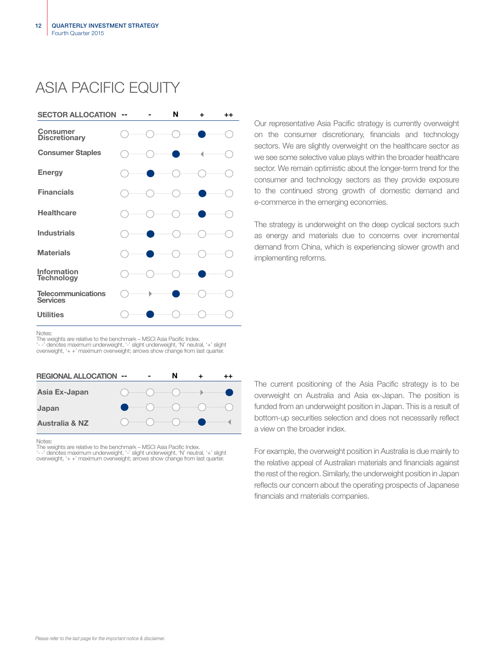# ASIA PACIFIC EQUITY



Our representative Asia Pacific strategy is currently overweight on the consumer discretionary, financials and technology sectors. We are slightly overweight on the healthcare sector as we see some selective value plays within the broader healthcare sector. We remain optimistic about the longer-term trend for the consumer and technology sectors as they provide exposure to the continued strong growth of domestic demand and e-commerce in the emerging economies.

The strategy is underweight on the deep cyclical sectors such as energy and materials due to concerns over incremental demand from China, which is experiencing slower growth and implementing reforms.

Notes:

The weights are relative to the benchmark – MSCI Asia Pacific Index. '- -' denotes maximum underweight, '-' slight underweight, 'N' neutral, '+' slight

overweight, '+ +' maximum overweight; arrows show change from last quarter



Notes:

The weights are relative to the benchmark – MSCI Asia Pacific Index.<br>'- -' denotes maximum underweight, '-' slight underweight, 'N' neutral, '+' slight<br>overweight, '+ +' maximum overweight; arrows show change from last qua

The current positioning of the Asia Pacific strategy is to be overweight on Australia and Asia ex-Japan. The position is funded from an underweight position in Japan. This is a result of bottom-up securities selection and does not necessarily reflect a view on the broader index.

For example, the overweight position in Australia is due mainly to the relative appeal of Australian materials and financials against the rest of the region. Similarly, the underweight position in Japan reflects our concern about the operating prospects of Japanese financials and materials companies.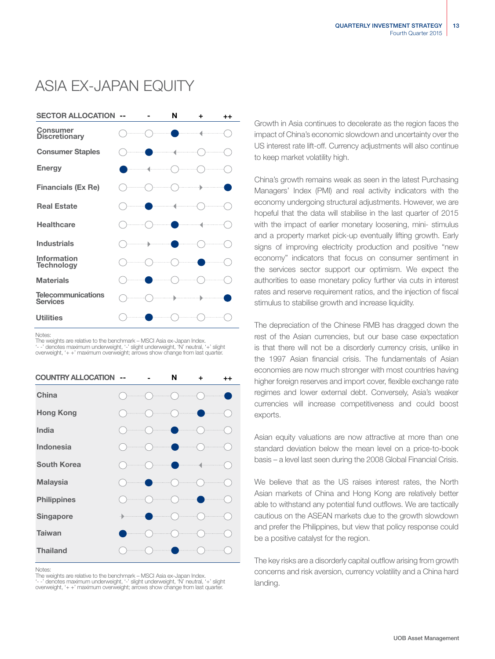# ASIA EX-JAPAN EQUITY



Notes:

The weights are relative to the benchmark – MSCI Asia ex-Japan Index. '- -' denotes maximum underweight, '-' slight underweight, 'N' neutral, '+' slight overweight, '+ +' maximum overweight; arrows show change from last quarter.

| <b>COUNTRY ALLOCATION</b> |  | N | ÷ | $++$ |
|---------------------------|--|---|---|------|
| China                     |  |   |   |      |
| <b>Hong Kong</b>          |  |   |   |      |
| <b>India</b>              |  |   |   |      |
| Indonesia                 |  |   |   |      |
| <b>South Korea</b>        |  |   |   |      |
| <b>Malaysia</b>           |  |   |   |      |
| <b>Philippines</b>        |  |   |   |      |
| Singapore                 |  |   |   |      |
| <b>Taiwan</b>             |  |   |   |      |
| <b>Thailand</b>           |  |   |   |      |

Notes:

The weights are relative to the benchmark – MSCI Asia ex-Japan Index. '- -' denotes maximum underweight, '-' slight underweight, 'N' neutral, '+' slight overweight, '+ +' maximum overweight; arrows show change from last quarter. Growth in Asia continues to decelerate as the region faces the impact of China's economic slowdown and uncertainty over the US interest rate lift-off. Currency adjustments will also continue to keep market volatility high.

China's growth remains weak as seen in the latest Purchasing Managers' Index (PMI) and real activity indicators with the economy undergoing structural adjustments. However, we are hopeful that the data will stabilise in the last quarter of 2015 with the impact of earlier monetary loosening, mini-stimulus and a property market pick-up eventually lifting growth. Early signs of improving electricity production and positive "new economy" indicators that focus on consumer sentiment in the services sector support our optimism. We expect the authorities to ease monetary policy further via cuts in interest rates and reserve requirement ratios, and the injection of fiscal stimulus to stabilise growth and increase liquidity.

The depreciation of the Chinese RMB has dragged down the rest of the Asian currencies, but our base case expectation is that there will not be a disorderly currency crisis, unlike in the 1997 Asian financial crisis. The fundamentals of Asian economies are now much stronger with most countries having higher foreign reserves and import cover, flexible exchange rate regimes and lower external debt. Conversely, Asia's weaker currencies will increase competitiveness and could boost exports.

Asian equity valuations are now attractive at more than one standard deviation below the mean level on a price-to-book basis – a level last seen during the 2008 Global Financial Crisis.

We believe that as the US raises interest rates, the North Asian markets of China and Hong Kong are relatively better able to withstand any potential fund outflows. We are tactically cautious on the ASEAN markets due to the growth slowdown and prefer the Philippines, but view that policy response could be a positive catalyst for the region.

The key risks are a disorderly capital outflow arising from growth concerns and risk aversion, currency volatility and a China hard landing.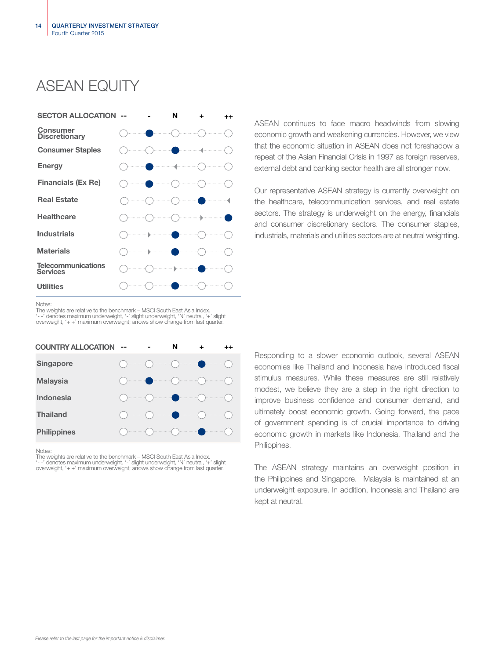# ASEAN FOUITY



ASEAN continues to face macro headwinds from slowing economic growth and weakening currencies. However, we view that the economic situation in ASEAN does not foreshadow a repeat of the Asian Financial Crisis in 1997 as foreign reserves, external debt and banking sector health are all stronger now.

Our representative ASEAN strategy is currently overweight on the healthcare, telecommunication services, and real estate sectors. The strategy is underweight on the energy, financials and consumer discretionary sectors. The consumer staples, industrials, materials and utilities sectors are at neutral weighting.

Notes:

The weights are relative to the benchmark – MSCI South East Asia Index. '- -' denotes maximum underweight, '-' slight underweight, 'N' neutral, '+' slight overweight, '+ +' maximum overweight; arrows show change from last quarter.

| <b>COUNTRY ALLOCATION</b> | -- |                                                                                                                                                                                                                                                                                                                                                                    | N |  |
|---------------------------|----|--------------------------------------------------------------------------------------------------------------------------------------------------------------------------------------------------------------------------------------------------------------------------------------------------------------------------------------------------------------------|---|--|
| <b>Singapore</b>          |    | $\begin{picture}(180,10) \put(0,0){\line(1,0){10}} \put(10,0){\line(1,0){10}} \put(10,0){\line(1,0){10}} \put(10,0){\line(1,0){10}} \put(10,0){\line(1,0){10}} \put(10,0){\line(1,0){10}} \put(10,0){\line(1,0){10}} \put(10,0){\line(1,0){10}} \put(10,0){\line(1,0){10}} \put(10,0){\line(1,0){10}} \put(10,0){\line(1,0){10}} \put(10,0){\line($                |   |  |
| <b>Malaysia</b>           |    | $\begin{picture}(180,10) \put(0,0){\vector(1,0){100}} \put(10,0){\vector(1,0){100}} \put(10,0){\vector(1,0){100}} \put(10,0){\vector(1,0){100}} \put(10,0){\vector(1,0){100}} \put(10,0){\vector(1,0){100}} \put(10,0){\vector(1,0){100}} \put(10,0){\vector(1,0){100}} \put(10,0){\vector(1,0){100}} \put(10,0){\vector(1,0){100}} \put(10,0){\vector(1,0){100}}$ |   |  |
| Indonesia                 |    |                                                                                                                                                                                                                                                                                                                                                                    |   |  |
| <b>Thailand</b>           |    | $\begin{picture}(180,10) \put(0,0){\vector(1,0){100}} \put(10,0){\vector(1,0){100}} \put(10,0){\vector(1,0){100}} \put(10,0){\vector(1,0){100}} \put(10,0){\vector(1,0){100}} \put(10,0){\vector(1,0){100}} \put(10,0){\vector(1,0){100}} \put(10,0){\vector(1,0){100}} \put(10,0){\vector(1,0){100}} \put(10,0){\vector(1,0){100}} \put(10,0){\vector(1,0){100}}$ |   |  |
| <b>Philippines</b>        |    |                                                                                                                                                                                                                                                                                                                                                                    |   |  |

**Notes** 

The weights are relative to the benchmark – MSCI South East Asia Index. '- -' denotes maximum underweight, '-' slight underweight, 'N' neutral, '+' slight overweight, '+ +' maximum overweight; arrows show change from last quarter. Responding to a slower economic outlook, several ASEAN economies like Thailand and Indonesia have introduced fiscal stimulus measures. While these measures are still relatively modest, we believe they are a step in the right direction to improve business confidence and consumer demand, and ultimately boost economic growth. Going forward, the pace of government spending is of crucial importance to driving economic growth in markets like Indonesia, Thailand and the Philippines.

The ASEAN strategy maintains an overweight position in the Philippines and Singapore. Malaysia is maintained at an underweight exposure. In addition, Indonesia and Thailand are kept at neutral.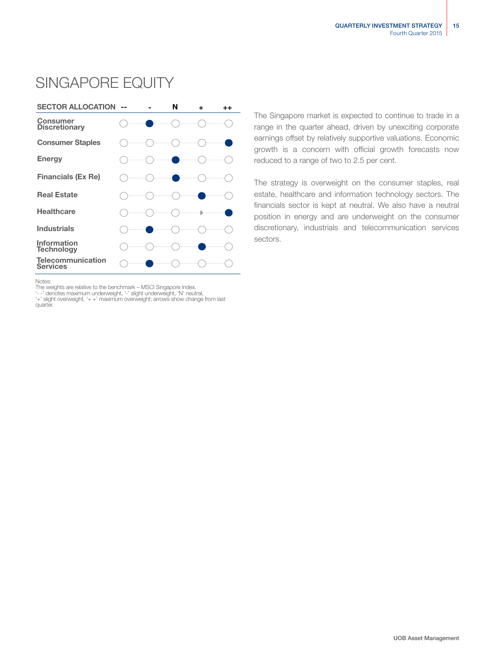

# SINGAPORE EQUITY

The Singapore market is expected to continue to trade in a range in the quarter ahead, driven by unexciting corporate earnings offset by relatively supportive valuations. Economic growth is a concern with official growth forecasts now reduced to a range of two to 2.5 per cent.

The strategy is overweight on the consumer staples, real estate, healthcare and information technology sectors. The financials sector is kept at neutral. We also have a neutral position in energy and are underweight on the consumer discretionary, industrials and telecommunication services sectors.

Notes:

The weights are relative to the benchmark – MSCI Singapore Index.<br>'--' denotes maximum underweight, '-' slight underweight, 'N' neutral,<br>'+' slight overweight, '+ +' maximum overweight; arrows show change from last quarter.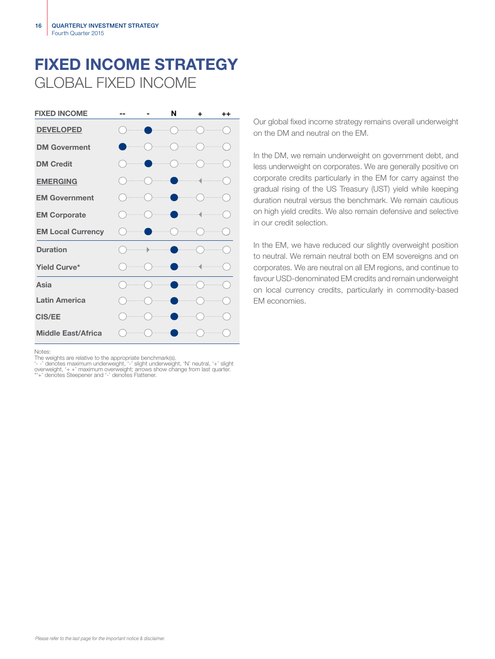# FIXED INCOME STRATEGY GLOBAL FIXED INCOME



Notes:

The weights are relative to the appropriate benchmark(s).<br>'- -' denotes maximum underweight, '--' slight underweight, 'N' neutral, '+' slight<br>overweight, '+ +' maximum overweight; arrows show change from last quarter.<br>\*'+'

Our global fixed income strategy remains overall underweight on the DM and neutral on the EM.

In the DM, we remain underweight on government debt, and less underweight on corporates. We are generally positive on corporate credits particularly in the EM for carry against the gradual rising of the US Treasury (UST) yield while keeping duration neutral versus the benchmark. We remain cautious on high yield credits. We also remain defensive and selective in our credit selection.

In the EM, we have reduced our slightly overweight position to neutral. We remain neutral both on EM sovereigns and on corporates. We are neutral on all EM regions, and continue to favour USD-denominated EM credits and remain underweight on local currency credits, particularly in commodity-based EM economies.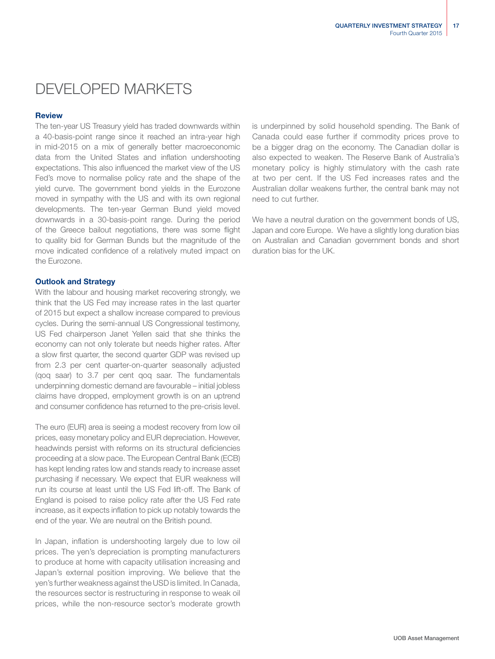# DEVELOPED MARKETS

### **Review**

The ten-year US Treasury yield has traded downwards within a 40-basis-point range since it reached an intra-year high in mid-2015 on a mix of generally better macroeconomic data from the United States and inflation undershooting expectations. This also influenced the market view of the US Fed's move to normalise policy rate and the shape of the yield curve. The government bond yields in the Eurozone moved in sympathy with the US and with its own regional developments. The ten-year German Bund yield moved downwards in a 30-basis-point range. During the period of the Greece bailout negotiations, there was some flight to quality bid for German Bunds but the magnitude of the move indicated confidence of a relatively muted impact on the Eurozone.

### Outlook and Strategy

With the labour and housing market recovering strongly, we think that the US Fed may increase rates in the last quarter of 2015 but expect a shallow increase compared to previous cycles. During the semi-annual US Congressional testimony, US Fed chairperson Janet Yellen said that she thinks the economy can not only tolerate but needs higher rates. After a slow first quarter, the second quarter GDP was revised up from 2.3 per cent quarter-on-quarter seasonally adjusted (qoq saar) to 3.7 per cent qoq saar. The fundamentals underpinning domestic demand are favourable – initial jobless claims have dropped, employment growth is on an uptrend and consumer confidence has returned to the pre-crisis level.

The euro (EUR) area is seeing a modest recovery from low oil prices, easy monetary policy and EUR depreciation. However, headwinds persist with reforms on its structural deficiencies proceeding at a slow pace. The European Central Bank (ECB) has kept lending rates low and stands ready to increase asset purchasing if necessary. We expect that EUR weakness will run its course at least until the US Fed lift-off. The Bank of England is poised to raise policy rate after the US Fed rate increase, as it expects inflation to pick up notably towards the end of the year. We are neutral on the British pound.

In Japan, inflation is undershooting largely due to low oil prices. The yen's depreciation is prompting manufacturers to produce at home with capacity utilisation increasing and Japan's external position improving. We believe that the yen's further weakness against the USD is limited. In Canada, the resources sector is restructuring in response to weak oil prices, while the non-resource sector's moderate growth

is underpinned by solid household spending. The Bank of Canada could ease further if commodity prices prove to be a bigger drag on the economy. The Canadian dollar is also expected to weaken. The Reserve Bank of Australia's monetary policy is highly stimulatory with the cash rate at two per cent. If the US Fed increases rates and the Australian dollar weakens further, the central bank may not need to cut further.

We have a neutral duration on the government bonds of US, Japan and core Europe. We have a slightly long duration bias on Australian and Canadian government bonds and short duration bias for the UK.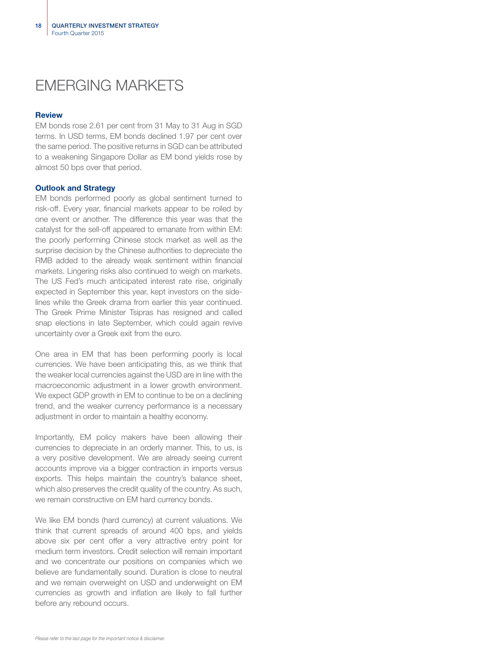# EMERGING MARKETS

### **Review**

EM bonds rose 2.61 per cent from 31 May to 31 Aug in SGD terms. In USD terms, EM bonds declined 1.97 per cent over the same period. The positive returns in SGD can be attributed to a weakening Singapore Dollar as EM bond yields rose by almost 50 bps over that period.

### Outlook and Strategy

EM bonds performed poorly as global sentiment turned to risk-off. Every year, financial markets appear to be roiled by one event or another. The difference this year was that the catalyst for the sell-off appeared to emanate from within EM: the poorly performing Chinese stock market as well as the surprise decision by the Chinese authorities to depreciate the RMB added to the already weak sentiment within financial markets. Lingering risks also continued to weigh on markets. The US Fed's much anticipated interest rate rise, originally expected in September this year, kept investors on the sidelines while the Greek drama from earlier this year continued. The Greek Prime Minister Tsipras has resigned and called snap elections in late September, which could again revive uncertainty over a Greek exit from the euro.

One area in EM that has been performing poorly is local currencies. We have been anticipating this, as we think that the weaker local currencies against the USD are in line with the macroeconomic adjustment in a lower growth environment. We expect GDP growth in EM to continue to be on a declining trend, and the weaker currency performance is a necessary adjustment in order to maintain a healthy economy.

Importantly, EM policy makers have been allowing their currencies to depreciate in an orderly manner. This, to us, is a very positive development. We are already seeing current accounts improve via a bigger contraction in imports versus exports. This helps maintain the country's balance sheet, which also preserves the credit quality of the country. As such, we remain constructive on EM hard currency bonds.

We like EM bonds (hard currency) at current valuations. We think that current spreads of around 400 bps, and yields above six per cent offer a very attractive entry point for medium term investors. Credit selection will remain important and we concentrate our positions on companies which we believe are fundamentally sound. Duration is close to neutral and we remain overweight on USD and underweight on EM currencies as growth and inflation are likely to fall further before any rebound occurs.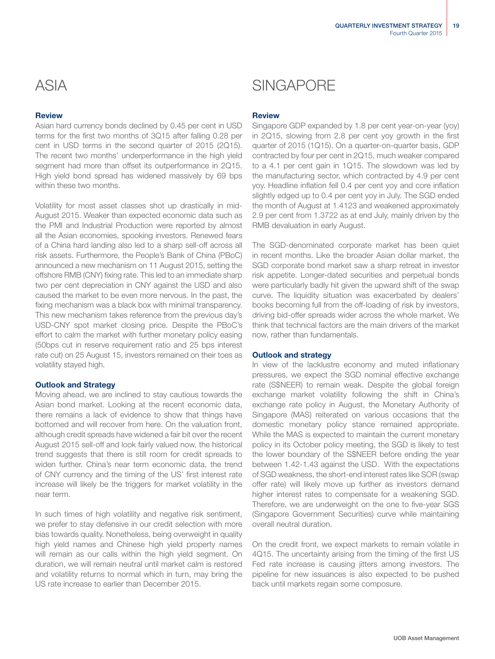## **Review**

Asian hard currency bonds declined by 0.45 per cent in USD terms for the first two months of 3Q15 after falling 0.28 per cent in USD terms in the second quarter of 2015 (2Q15). The recent two months' underperformance in the high yield segment had more than offset its outperformance in 2Q15. High yield bond spread has widened massively by 69 bps within these two months.

Volatility for most asset classes shot up drastically in mid-August 2015. Weaker than expected economic data such as the PMI and Industrial Production were reported by almost all the Asian economies, spooking investors. Renewed fears of a China hard landing also led to a sharp sell-off across all risk assets. Furthermore, the People's Bank of China (PBoC) announced a new mechanism on 11 August 2015, setting the offshore RMB (CNY) fixing rate. This led to an immediate sharp two per cent depreciation in CNY against the USD and also caused the market to be even more nervous. In the past, the fixing mechanism was a black box with minimal transparency. This new mechanism takes reference from the previous day's USD-CNY spot market closing price. Despite the PBoC's effort to calm the market with further monetary policy easing (50bps cut in reserve requirement ratio and 25 bps interest rate cut) on 25 August 15, investors remained on their toes as volatility stayed high.

## Outlook and Strategy

Moving ahead, we are inclined to stay cautious towards the Asian bond market. Looking at the recent economic data, there remains a lack of evidence to show that things have bottomed and will recover from here. On the valuation front, although credit spreads have widened a fair bit over the recent August 2015 sell-off and look fairly valued now, the historical trend suggests that there is still room for credit spreads to widen further. China's near term economic data, the trend of CNY currency and the timing of the US' first interest rate increase will likely be the triggers for market volatility in the near term.

In such times of high volatility and negative risk sentiment, we prefer to stay defensive in our credit selection with more bias towards quality. Nonetheless, being overweight in quality high yield names and Chinese high yield property names will remain as our calls within the high yield segment. On duration, we will remain neutral until market calm is restored and volatility returns to normal which in turn, may bring the US rate increase to earlier than December 2015.

# ASIA SINGAPORE

## **Review**

Singapore GDP expanded by 1.8 per cent year-on-year (yoy) in 2Q15, slowing from 2.8 per cent yoy growth in the first quarter of 2015 (1Q15). On a quarter-on-quarter basis, GDP contracted by four per cent in 2Q15, much weaker compared to a 4.1 per cent gain in 1Q15. The slowdown was led by the manufacturing sector, which contracted by 4.9 per cent yoy. Headline inflation fell 0.4 per cent yoy and core inflation slightly edged up to 0.4 per cent yoy in July. The SGD ended the month of August at 1.4123 and weakened approximately 2.9 per cent from 1.3722 as at end July, mainly driven by the RMB devaluation in early August.

The SGD-denominated corporate market has been quiet in recent months. Like the broader Asian dollar market, the SGD corporate bond market saw a sharp retreat in investor risk appetite. Longer-dated securities and perpetual bonds were particularly badly hit given the upward shift of the swap curve. The liquidity situation was exacerbated by dealers' books becoming full from the off-loading of risk by investors, driving bid-offer spreads wider across the whole market. We think that technical factors are the main drivers of the market now, rather than fundamentals.

## Outlook and strategy

In view of the lacklustre economy and muted inflationary pressures, we expect the SGD nominal effective exchange rate (S\$NEER) to remain weak. Despite the global foreign exchange market volatility following the shift in China's exchange rate policy in August, the Monetary Authority of Singapore (MAS) reiterated on various occasions that the domestic monetary policy stance remained appropriate. While the MAS is expected to maintain the current monetary policy in its October policy meeting, the SGD is likely to test the lower boundary of the S\$NEER before ending the year between 1.42-1.43 against the USD. With the expectations of SGD weakness, the short-end interest rates like SOR (swap offer rate) will likely move up further as investors demand higher interest rates to compensate for a weakening SGD. Therefore, we are underweight on the one to five-year SGS (Singapore Government Securities) curve while maintaining overall neutral duration.

On the credit front, we expect markets to remain volatile in 4Q15. The uncertainty arising from the timing of the first US Fed rate increase is causing jitters among investors. The pipeline for new issuances is also expected to be pushed back until markets regain some composure.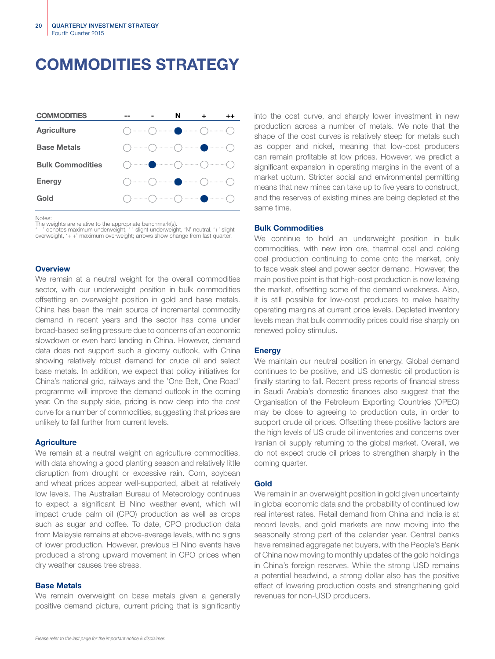# COMMODITIES STRATEGY



Notes:

The weights are relative to the appropriate benchmark(s).

'- -' denotes maximum underweight, '-' slight underweight, 'N' neutral, '+' slight overweight, '+ +' maximum overweight; arrows show change from last quarter.

### **Overview**

We remain at a neutral weight for the overall commodities sector, with our underweight position in bulk commodities offsetting an overweight position in gold and base metals. China has been the main source of incremental commodity demand in recent years and the sector has come under broad-based selling pressure due to concerns of an economic slowdown or even hard landing in China. However, demand data does not support such a gloomy outlook, with China showing relatively robust demand for crude oil and select base metals. In addition, we expect that policy initiatives for China's national grid, railways and the 'One Belt, One Road' programme will improve the demand outlook in the coming year. On the supply side, pricing is now deep into the cost curve for a number of commodities, suggesting that prices are unlikely to fall further from current levels.

### **Agriculture**

We remain at a neutral weight on agriculture commodities, with data showing a good planting season and relatively little disruption from drought or excessive rain. Corn, soybean and wheat prices appear well-supported, albeit at relatively low levels. The Australian Bureau of Meteorology continues to expect a significant El Nino weather event, which will impact crude palm oil (CPO) production as well as crops such as sugar and coffee. To date, CPO production data from Malaysia remains at above-average levels, with no signs of lower production. However, previous El Nino events have produced a strong upward movement in CPO prices when dry weather causes tree stress.

### Base Metals

We remain overweight on base metals given a generally positive demand picture, current pricing that is significantly into the cost curve, and sharply lower investment in new production across a number of metals. We note that the shape of the cost curves is relatively steep for metals such as copper and nickel, meaning that low-cost producers can remain profitable at low prices. However, we predict a significant expansion in operating margins in the event of a market upturn. Stricter social and environmental permitting means that new mines can take up to five years to construct, and the reserves of existing mines are being depleted at the same time.

### Bulk Commodities

We continue to hold an underweight position in bulk commodities, with new iron ore, thermal coal and coking coal production continuing to come onto the market, only to face weak steel and power sector demand. However, the main positive point is that high-cost production is now leaving the market, offsetting some of the demand weakness. Also, it is still possible for low-cost producers to make healthy operating margins at current price levels. Depleted inventory levels mean that bulk commodity prices could rise sharply on renewed policy stimulus.

### **Energy**

We maintain our neutral position in energy. Global demand continues to be positive, and US domestic oil production is finally starting to fall. Recent press reports of financial stress in Saudi Arabia's domestic finances also suggest that the Organisation of the Petroleum Exporting Countries (OPEC) may be close to agreeing to production cuts, in order to support crude oil prices. Offsetting these positive factors are the high levels of US crude oil inventories and concerns over Iranian oil supply returning to the global market. Overall, we do not expect crude oil prices to strengthen sharply in the coming quarter.

### Gold

We remain in an overweight position in gold given uncertainty in global economic data and the probability of continued low real interest rates. Retail demand from China and India is at record levels, and gold markets are now moving into the seasonally strong part of the calendar year. Central banks have remained aggregate net buyers, with the People's Bank of China now moving to monthly updates of the gold holdings in China's foreign reserves. While the strong USD remains a potential headwind, a strong dollar also has the positive effect of lowering production costs and strengthening gold revenues for non-USD producers.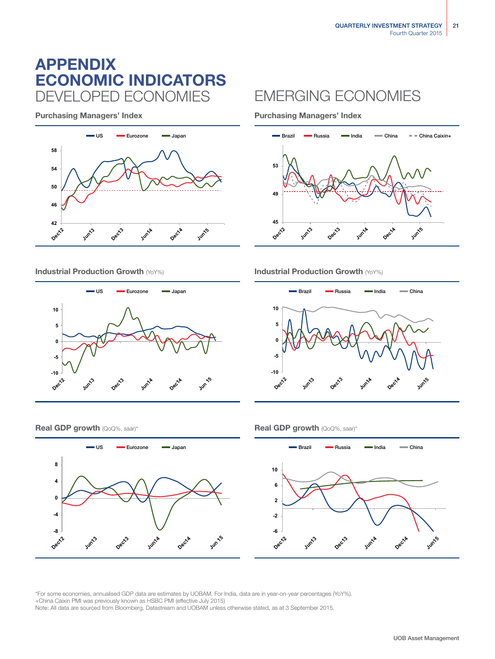# ECONOMIC INDICATORS APPENDIX DEVELOPED ECONOMIES EMERGING ECONOMIES

Purchasing Managers' Index **Purchasing Managers' Index** 







Industrial Production Growth (YoY%) **Industrial Production Growth (YoY%) Industrial Production Growth (YoY%)** 



### **Real GDP growth** (QoQ%, saar)\* **Real GDP growth** (QoQ%, saar)\*





\*For some economies, annualised GDP data are estimates by UOBAM. For India, data are in year-on-year percentages (YoY%). +China Caixin PMI was previously known as HSBC PMI (effective July 2015) Note: All data are sourced from Bloomberg, Datastream and UOBAM unless otherwise stated, as at 3 September 2015.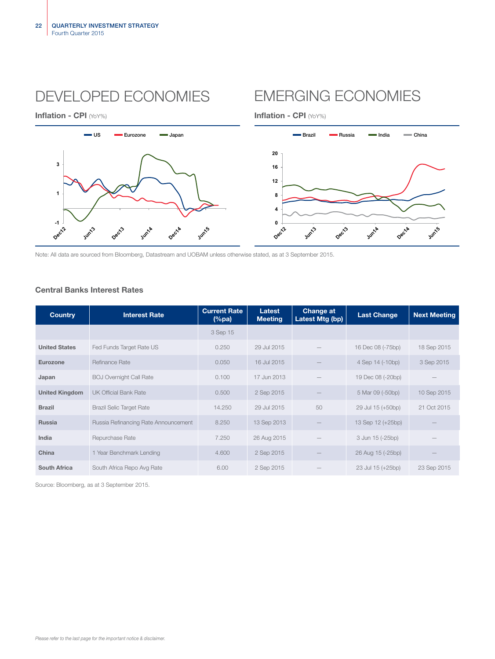# DEVELOPED ECONOMIES EMERGING ECONOMIES





Note: All data are sourced from Bloomberg, Datastream and UOBAM unless otherwise stated, as at 3 September 2015.

# Central Banks Interest Rates

| <b>Country</b>        | <b>Interest Rate</b>                 | <b>Current Rate</b><br>$(\%pa)$ | Latest<br><b>Meeting</b> | Change at<br>Latest Mtg (bp) | <b>Last Change</b> | <b>Next Meeting</b> |
|-----------------------|--------------------------------------|---------------------------------|--------------------------|------------------------------|--------------------|---------------------|
|                       |                                      | 3 Sep 15                        |                          |                              |                    |                     |
| <b>United States</b>  | Fed Funds Target Rate US             | 0.250                           | 29 Jul 2015              |                              | 16 Dec 08 (-75bp)  | 18 Sep 2015         |
| Eurozone              | Refinance Rate                       | 0.050                           | 16 Jul 2015              |                              | 4 Sep 14 (-10bp)   | 3 Sep 2015          |
| Japan                 | <b>BOJ Overnight Call Rate</b>       | 0.100                           | 17 Jun 2013              |                              | 19 Dec 08 (-20bp)  |                     |
| <b>United Kingdom</b> | <b>UK Official Bank Rate</b>         | 0.500                           | 2 Sep 2015               |                              | 5 Mar 09 (-50bp)   | 10 Sep 2015         |
| <b>Brazil</b>         | <b>Brazil Selic Target Rate</b>      | 14.250                          | 29 Jul 2015              | 50                           | 29 Jul 15 (+50bp)  | 21 Oct 2015         |
| <b>Russia</b>         | Russia Refinancing Rate Announcement | 8.250                           | 13 Sep 2013              |                              | 13 Sep 12 (+25bp)  |                     |
| India                 | Repurchase Rate                      | 7.250                           | 26 Aug 2015              |                              | 3 Jun 15 (-25bp)   |                     |
| China                 | 1 Year Benchmark Lending             | 4.600                           | 2 Sep 2015               |                              | 26 Aug 15 (-25bp)  |                     |
| <b>South Africa</b>   | South Africa Repo Avg Rate           | 6.00                            | 2 Sep 2015               |                              | 23 Jul 15 (+25bp)  | 23 Sep 2015         |

Source: Bloomberg, as at 3 September 2015.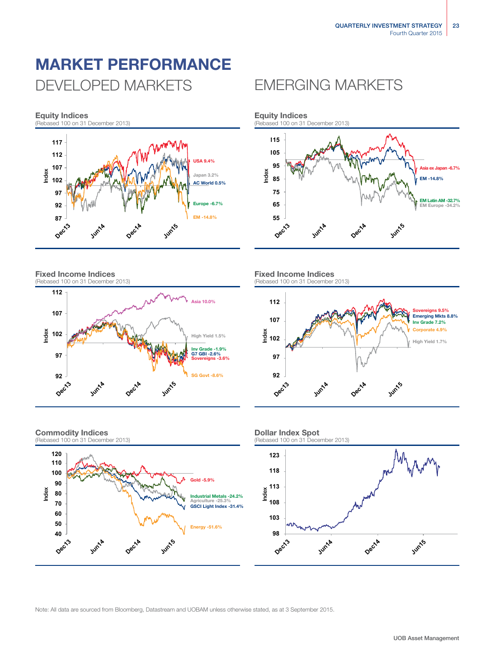# MARKET PERFORMANCE DEVELOPED MARKETS EMERGING MARKETS



Fixed Income Indices (Rebased 100 on 31 December 2013)



### Commodity Indices (Rebased 100 on 31 December 2013)





### Fixed Income Indices (Rebased 100 on 31 December 2013)





## Dollar Index Spot

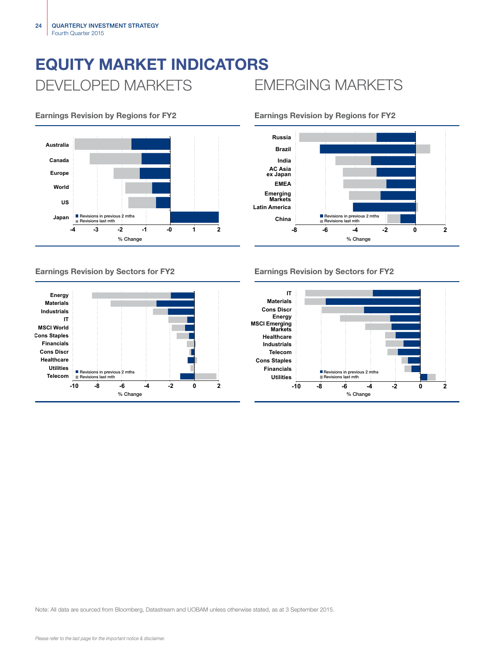# EQUITY MARKET INDICATORS DEVELOPED MARKETS EMERGING MARKETS





## Earnings Revision by Regions for FY2 Earnings Revision by Regions for FY2



# Earnings Revision by Sectors for FY2 Earnings Revision by Sectors for FY2

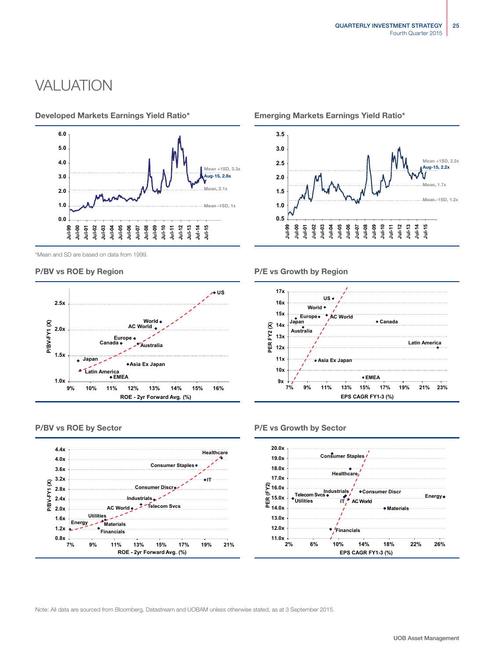# **VALUATION**



\*Mean and SD are based on data from 1999.





### Developed Markets Earnings Yield Ratio\* Emerging Markets Earnings Yield Ratio\*



P/BV vs ROE by Region **P/E** vs Growth by Region



### P/BV vs ROE by Sector **P/E** vs Growth by Sector

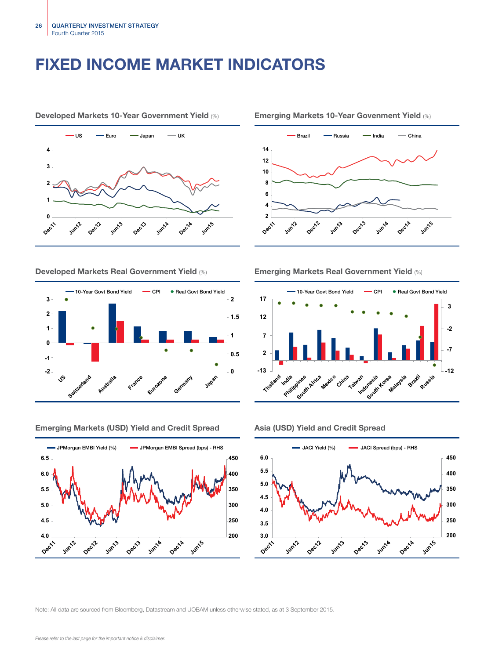# FIXED INCOME MARKET INDICATORS



Developed Markets 10-Year Government Yield (%) Emerging Markets 10-Year Govenment Yield (%)





Emerging Markets (USD) Yield and Credit Spread Asia (USD) Yield and Credit Spread







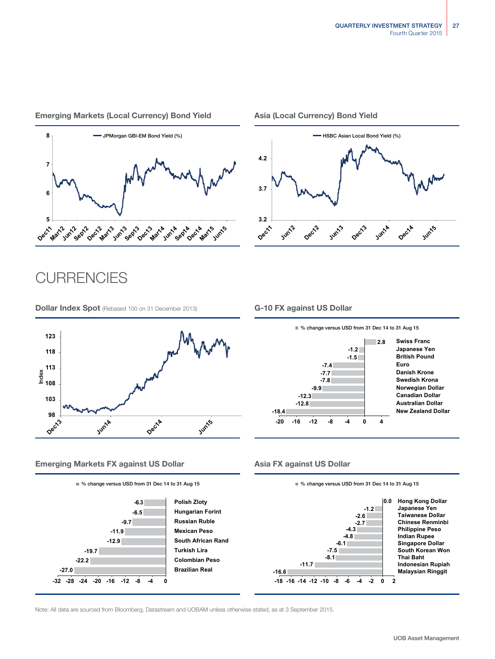# Emerging Markets (Local Currency) Bond Yield Asia (Local Currency) Bond Yield



# **CURRENCIES**

**Dollar Index Spot** (Rebased 100 on 31 December 2013) **G-10 FX against US Dollar** 



## Emerging Markets FX against US Dollar Asia FX against US Dollar







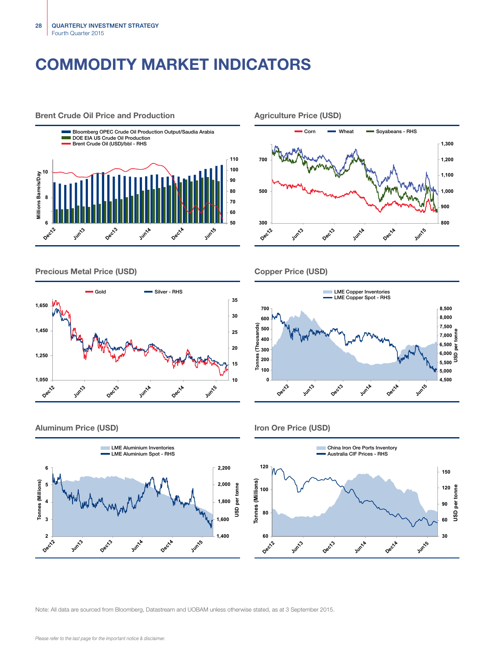# COMMODITY MARKET INDICATORS



Precious Metal Price (USD) Copper Price (USD)









### Aluminum Price (USD) and the USD of the USD of the USD of the USD of the USD of the USD of the USD of the USD of the USD of the USD of the USD of the USD of the USD of the USD of the USD of the USD of the USD of the USD of





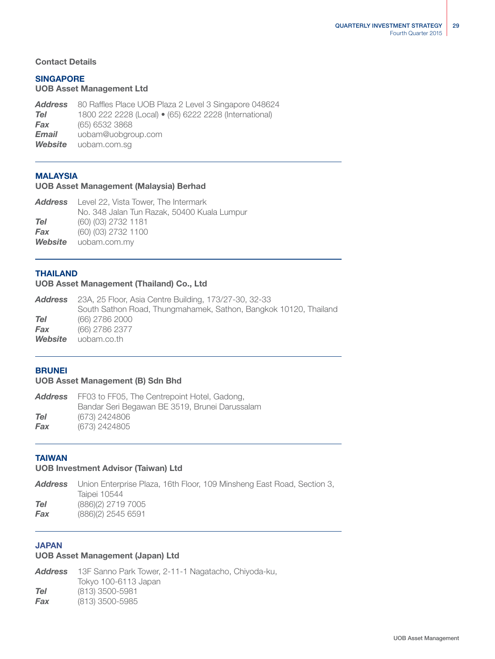## Contact Details

# SINGAPORE

# UOB Asset Management Ltd

*Address* 80 Raffles Place UOB Plaza 2 Level 3 Singapore 048624 *Tel* 1800 222 2228 (Local) • (65) 6222 2228 (International) *Fax* (65) 6532 3868 *Email* uobam@uobgroup.com *Website* uobam.com.sg

## MALAYSIA

## UOB Asset Management (Malaysia) Berhad

|            | <b>Address</b> Level 22, Vista Tower, The Intermark |
|------------|-----------------------------------------------------|
|            | No. 348 Jalan Tun Razak, 50400 Kuala Lumpur         |
| <b>Tel</b> | (60) (03) 2732 1181                                 |
| Fax        | (60) (03) 2732 1100                                 |
|            | <b>Website</b> uobam.com.my                         |

## THAILAND

## UOB Asset Management (Thailand) Co., Ltd

|         | <b>Address</b> 23A, 25 Floor, Asia Centre Building, 173/27-30, 32-33 |
|---------|----------------------------------------------------------------------|
|         | South Sathon Road, Thungmahamek, Sathon, Bangkok 10120, Thailand     |
| Tel     | (66) 2786 2000                                                       |
| Fax     | (66) 2786 2377                                                       |
| Website | uobam.co.th                                                          |

## **BRUNEI**

## UOB Asset Management (B) Sdn Bhd

| Address | FF03 to FF05, The Centrepoint Hotel, Gadong,   |
|---------|------------------------------------------------|
|         | Bandar Seri Begawan BE 3519, Brunei Darussalam |
| Tel     | (673) 2424806                                  |
| Fax     | (673) 2424805                                  |

## TAIWAN

## UOB Investment Advisor (Taiwan) Ltd

|     | <b>Address</b> Union Enterprise Plaza, 16th Floor, 109 Minsheng East Road, Section 3, |
|-----|---------------------------------------------------------------------------------------|
|     | Taipei 10544                                                                          |
| Tel | (886)(2) 2719 7005                                                                    |
| Fax | $(886)(2)$ 2545 6591                                                                  |
|     |                                                                                       |

# JAPAN

## UOB Asset Management (Japan) Ltd

*Address* 13F Sanno Park Tower, 2-11-1 Nagatacho, Chiyoda-ku, Tokyo 100-6113 Japan *Tel* (813) 3500-5981 *Fax* (813) 3500-5985